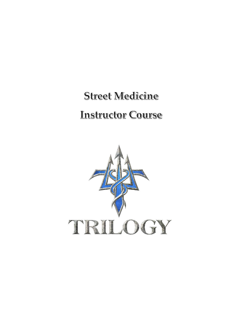# **Street Medicine Instructor Course**

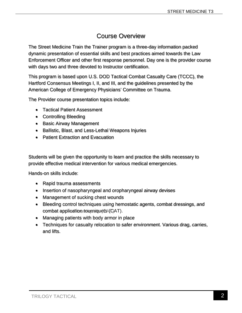# Course Overview

The Street Medicine Train the Trainer program is a three-day information packed dynamic presentation of essential skills and best practices aimed towards the Law Enforcement Officer and other first response personnel. Day one is the provider course with days two and three devoted to Instructor certification.

This program is based upon U.S. DOD Tactical Combat Casualty Care (TCCC), the Hartford Consensus Meetings I, II, and III, and the guidelines presented by the American College of Emergency Physicians' Committee on Trauma.

The Provider course presentation topics include:

- Tactical Patient Assessment
- Controlling Bleeding
- Basic Airway Management
- Ballistic, Blast, and Less-Lethal Weapons Injuries
- Patient Extraction and Evacuation

Students will be given the opportunity to learn and practice the skills necessary to provide effective medical intervention for various medical emergencies.

Hands-on skills include:

- Rapid trauma assessments
- Insertion of nasopharyngeal and oropharyngeal airway devises
- Management of sucking chest wounds
- Bleeding control techniques using hemostatic agents, combat dressings, and combat application tourniquets (CAT).
- Managing patients with body armor in place
- Techniques for casualty relocation to safer environment. Various drag, carries, and lifts.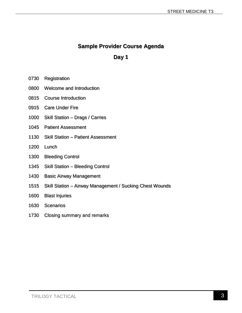## **Sample Provider Course Agenda**

**Day 1**

- 0730 Registration
- 0800 Welcome and Introduction
- 0815 Course Introduction
- 0915 Care Under Fire
- 1000 Skill Station Drags / Carries
- 1045 Patient Assessment
- 1130 Skill Station Patient Assessment
- 1200 Lunch
- 1300 Bleeding Control
- 1345 Skill Station Bleeding Control
- 1430 Basic Airway Management
- 1515 Skill Station Airway Management / Sucking Chest Wounds
- 1600 Blast Injuries
- 1630 Scenarios
- 1730 Closing summary and remarks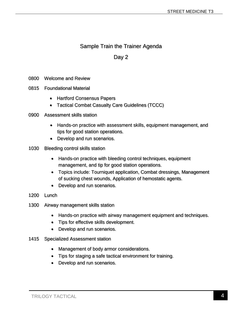## Sample Train the Trainer Agenda

#### Day 2

- 0800 Welcome and Review
- 0815 Foundational Material
	- Hartford Consensus Papers
	- Tactical Combat Casualty Care Guidelines (TCCC)
- 0900 Assessment skills station
	- Hands-on practice with assessment skills, equipment management, and tips for good station operations.
	- Develop and run scenarios.
- 1030 Bleeding control skills station
	- Hands-on practice with bleeding control techniques, equipment management, and tip for good station operations.
	- Topics include: Tourniquet application, Combat dressings, Management of sucking chest wounds, Application of hemostatic agents.
	- Develop and run scenarios.
- 1200 Lunch
- 1300 Airway management skills station
	- Hands-on practice with airway management equipment and techniques.
	- Tips for effective skills development.
	- Develop and run scenarios.
- 1415 Specialized Assessment station
	- Management of body armor considerations.
	- Tips for staging a safe tactical environment for training.
	- Develop and run scenarios.